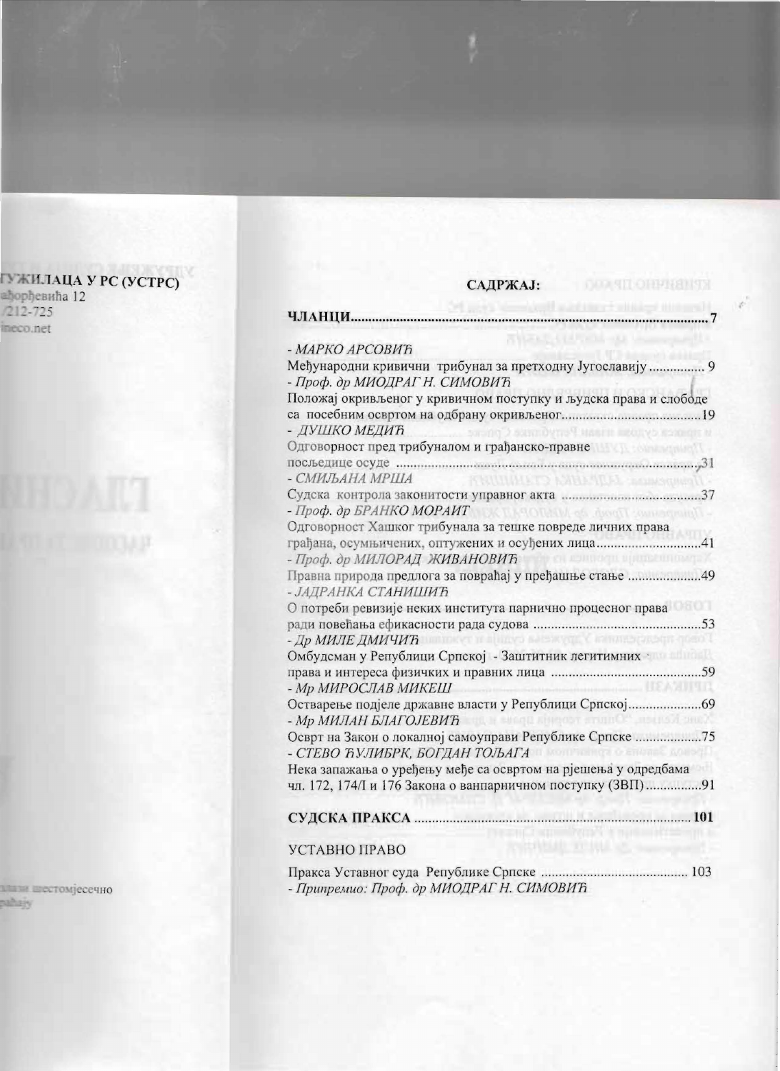## САДРЖАЈ:

| - МАРКО АРСОВИЋ                                                                                                                     |
|-------------------------------------------------------------------------------------------------------------------------------------|
| Међународни кривични трибунал за претходну Југославију 9<br>- Проф. др МИОДРАГ Н. СИМОВИЋ                                           |
| положај окривљеног у кривичном поступку и људска права и слободе<br>- ДУШКО МЕДИЋ<br>и точное судари плави Република Срп-не         |
| Одговорност пред трибуналом и грађанско-правне                                                                                      |
| FRIUDENCA, ATTA ANGLET CLARIFICATION<br>- СМИЉАНА МРША                                                                              |
| - Проф. др БРАНКО МОРАИТ                                                                                                            |
| Одговорност Хашког трибунала за тешке повреде личних права                                                                          |
| грађана, осумњичених, оптужених и осуђених лица41<br>- Проф. др МИЛОРАД ЖИВАНОВИЋ                                                   |
| Правна природа предлога за повраћај у пређашње стање 49<br>- ЈАДРАНКА СТАНИШИЋ                                                      |
| О потреби ревизије неких института парнично процесног права                                                                         |
| - Др МИЛЕ ДМИЧИЋ                                                                                                                    |
| Омбудсман у Републици Српској - Заштитник легитимних                                                                                |
| <b>UEANITED</b><br>- Мр МИРОСЛАВ МИКЕШ                                                                                              |
| Остварење подјеле државне власти у Републици Српској69<br><b>Conc. Kensus "Onners responds upone H. By</b><br>- Мр МИЛАН БЛАГОЈЕВИЋ |
| Осврт на Закон о локалној самоуправи Републике Српске 75<br>- СТЕВО ЋУЛИБРК, БОГДАН ТОЉАГА                                          |
| Нека запажања о уређењу међе са освртом на рјешења у одредбама<br>чл. 172, 174/І и 176 Закона о ванпарничном поступку (ЗВП)91       |
|                                                                                                                                     |
| УСТАВНО ПРАВО                                                                                                                       |
| - Припремио: Проф. др МИОДРАГ Н. СИМОВИЋ                                                                                            |